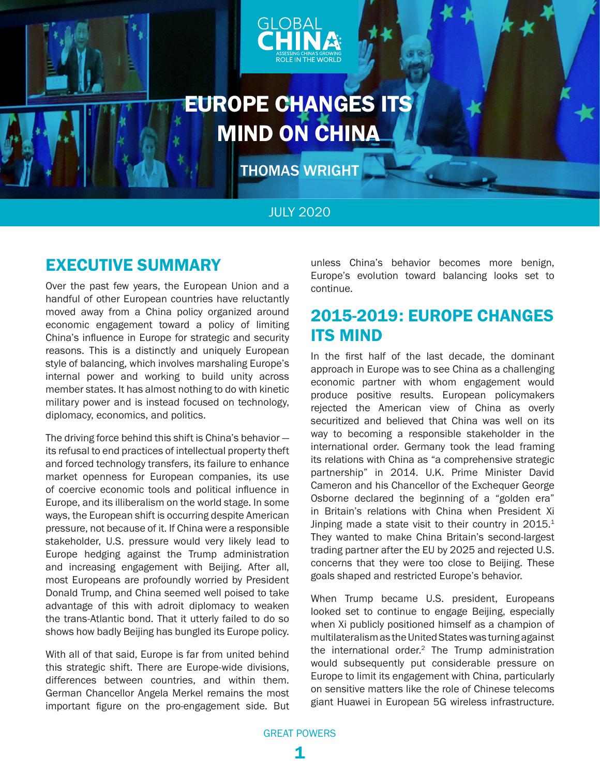<span id="page-0-0"></span>



# EUROPE CHANGES ITS MIND ON CHINA

THOMAS WRIGHT

### JULY 2020

### EXECUTIVE SUMMARY

Over the past few years, the European Union and a handful of other European countries have reluctantly moved away from a China policy organized around economic engagement toward a policy of limiting China's influence in Europe for strategic and security reasons. This is a distinctly and uniquely European style of balancing, which involves marshaling Europe's internal power and working to build unity across member states. It has almost nothing to do with kinetic military power and is instead focused on technology, diplomacy, economics, and politics.

The driving force behind this shift is China's behavior its refusal to end practices of intellectual property theft and forced technology transfers, its failure to enhance market openness for European companies, its use of coercive economic tools and political influence in Europe, and its illiberalism on the world stage. In some ways, the European shift is occurring despite American pressure, not because of it. If China were a responsible stakeholder, U.S. pressure would very likely lead to Europe hedging against the Trump administration and increasing engagement with Beijing. After all, most Europeans are profoundly worried by President Donald Trump, and China seemed well poised to take advantage of this with adroit diplomacy to weaken the trans-Atlantic bond. That it utterly failed to do so shows how badly Beijing has bungled its Europe policy.

With all of that said, Europe is far from united behind this strategic shift. There are Europe-wide divisions, differences between countries, and within them. German Chancellor Angela Merkel remains the most important figure on the pro-engagement side. But

unless China's behavior becomes more benign, Europe's evolution toward balancing looks set to continue.

## 2015-2019: EUROPE CHANGES ITS MIND

In the first half of the last decade, the dominant approach in Europe was to see China as a challenging economic partner with whom engagement would produce positive results. European policymakers rejected the American view of China as overly securitized and believed that China was well on its way to becoming a responsible stakeholder in the international order. Germany took the lead framing its relations with China as "a comprehensive strategic partnership" in 2014. U.K. Prime Minister David Cameron and his Chancellor of the Exchequer George Osborne declared the beginning of a "golden era" in Britain's relations with China when President Xi Jinping made a state visit to their country in  $2015.<sup>1</sup>$ They wanted to make China Britain's second-largest trading partner after the EU by 2025 and rejected U.S. concerns that they were too close to Beijing. These goals shaped and restricted Europe's behavior.

When Trump became U.S. president, Europeans looked set to continue to engage Beijing, especially when Xi publicly positioned himself as a champion of multilateralism as the United States was turning against the international order.<sup>2</sup> The Trump administration would subsequently put considerable pressure on Europe to limit its engagement with China, particularly on sensitive matters like the role of Chinese telecoms giant Huawei in European 5G wireless infrastructure.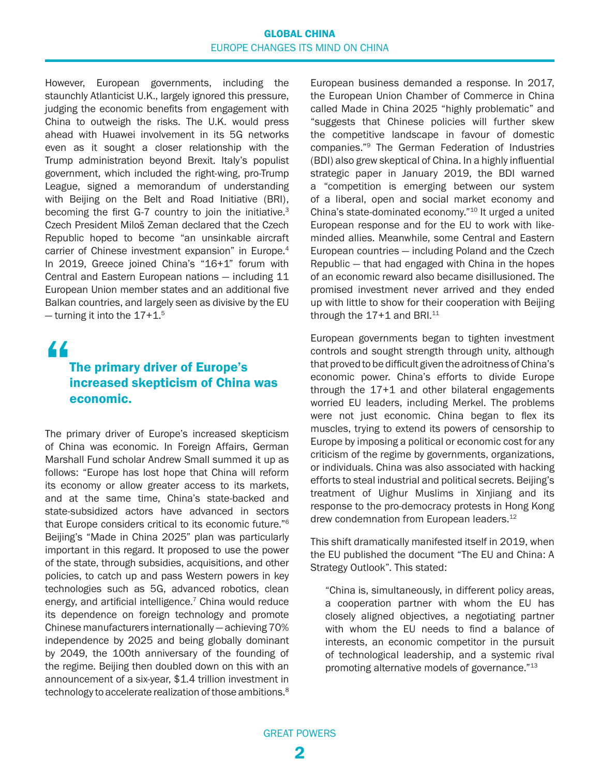#### GLOBAL CHINA EUROPE CHANGES ITS MIND ON CHINA

<span id="page-1-0"></span>However, European governments, including the staunchly Atlanticist U.K., largely ignored this pressure, judging the economic benefits from engagement with China to outweigh the risks. The U.K. would press ahead with Huawei involvement in its 5G networks even as it sought a closer relationship with the Trump administration beyond Brexit. Italy's populist government, which included the right-wing, pro-Trump League, signed a memorandum of understanding with Beijing on the Belt and Road Initiative (BRI), becoming the first G-7 country to join the initiative.<sup>3</sup> Czech President Miloš Zeman declared that the Czech Republic hoped to become "an unsinkable aircraft carrier of Chinese investment expansion" in Europe.<sup>4</sup> In 2019, Greece joined China's "16+1" forum with Central and Eastern European nations — including 11 European Union member states and an additional five Balkan countries, and largely seen as divisive by the EU  $-$  turning it into the 17+1.<sup>[5](#page-5-0)</sup>

# "

### The primary driver of Europe's increased skepticism of China was economic.

The primary driver of Europe's increased skepticism of China was economic. In Foreign Affairs, German Marshall Fund scholar Andrew Small summed it up as follows: "Europe has lost hope that China will reform its economy or allow greater access to its markets, and at the same time, China's state-backed and state-subsidized actors have advanced in sectors that Europe considers critical to its economic future.["6](#page-5-0) Beijing's "Made in China 2025" plan was particularly important in this regard. It proposed to use the power of the state, through subsidies, acquisitions, and other policies, to catch up and pass Western powers in key technologies such as 5G, advanced robotics, clean energy, and artificial intelligence.<sup>7</sup> China would reduce its dependence on foreign technology and promote Chinese manufacturers internationally — achieving 70% independence by 2025 and being globally dominant by 2049, the 100th anniversary of the founding of the regime. Beijing then doubled down on this with an announcement of a six-year, \$1.4 trillion investment in technology to accelerate realization of those ambitions.<sup>8</sup>

European business demanded a response. In 2017, the European Union Chamber of Commerce in China called Made in China 2025 "highly problematic" and "suggests that Chinese policies will further skew the competitive landscape in favour of domestic companies.["9](#page-5-0) The German Federation of Industries (BDI) also grew skeptical of China. In a highly influential strategic paper in January 2019, the BDI warned a "competition is emerging between our system of a liberal, open and social market economy and China's state-dominated economy."[10](#page-5-0) It urged a united European response and for the EU to work with likeminded allies. Meanwhile, some Central and Eastern European countries — including Poland and the Czech Republic — that had engaged with China in the hopes of an economic reward also became disillusioned. The promised investment never arrived and they ended up with little to show for their cooperation with Beijing through the  $17+1$  and BRI.<sup>[11](#page-5-0)</sup>

European governments began to tighten investment controls and sought strength through unity, although that proved to be difficult given the adroitness of China's economic power. China's efforts to divide Europe through the 17+1 and other bilateral engagements worried EU leaders, including Merkel. The problems were not just economic. China began to flex its muscles, trying to extend its powers of censorship to Europe by imposing a political or economic cost for any criticism of the regime by governments, organizations, or individuals. China was also associated with hacking efforts to steal industrial and political secrets. Beijing's treatment of Uighur Muslims in Xinjiang and its response to the pro-democracy protests in Hong Kong drew condemnation from European leaders.<sup>12</sup>

This shift dramatically manifested itself in 2019, when the EU published the document "The EU and China: A Strategy Outlook". This stated:

"China is, simultaneously, in different policy areas, a cooperation partner with whom the EU has closely aligned objectives, a negotiating partner with whom the EU needs to find a balance of interests, an economic competitor in the pursuit of technological leadership, and a systemic rival promoting alternative models of governance."<sup>13</sup>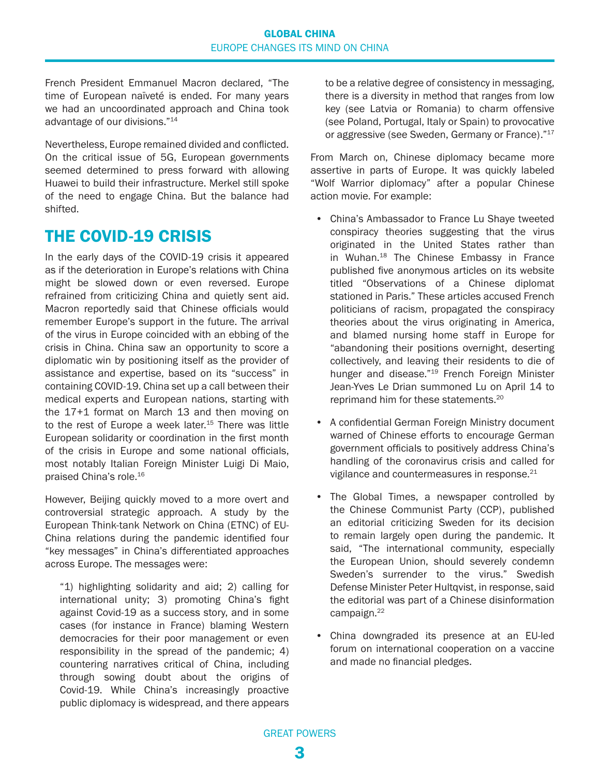<span id="page-2-0"></span>French President Emmanuel Macron declared, "The time of European naïveté is ended. For many years we had an uncoordinated approach and China took advantage of our divisions."[14](#page-5-0)

Nevertheless, Europe remained divided and conflicted. On the critical issue of 5G, European governments seemed determined to press forward with allowing Huawei to build their infrastructure. Merkel still spoke of the need to engage China. But the balance had shifted.

### THE COVID-19 CRISIS

In the early days of the COVID-19 crisis it appeared as if the deterioration in Europe's relations with China might be slowed down or even reversed. Europe refrained from criticizing China and quietly sent aid. Macron reportedly said that Chinese officials would remember Europe's support in the future. The arrival of the virus in Europe coincided with an ebbing of the crisis in China. China saw an opportunity to score a diplomatic win by positioning itself as the provider of assistance and expertise, based on its "success" in containing COVID-19. China set up a call between their medical experts and European nations, starting with the 17+1 format on March 13 and then moving on to the rest of Europe a week later.<sup>[15](#page-5-0)</sup> There was little European solidarity or coordination in the first month of the crisis in Europe and some national officials, most notably Italian Foreign Minister Luigi Di Maio, praised China's role[.16](#page-6-0)

However, Beijing quickly moved to a more overt and controversial strategic approach. A study by the European Think-tank Network on China (ETNC) of EU-China relations during the pandemic identified four "key messages" in China's differentiated approaches across Europe. The messages were:

"1) highlighting solidarity and aid; 2) calling for international unity; 3) promoting China's fight against Covid-19 as a success story, and in some cases (for instance in France) blaming Western democracies for their poor management or even responsibility in the spread of the pandemic; 4) countering narratives critical of China, including through sowing doubt about the origins of Covid-19. While China's increasingly proactive public diplomacy is widespread, and there appears to be a relative degree of consistency in messaging, there is a diversity in method that ranges from low key (see Latvia or Romania) to charm offensive (see Poland, Portugal, Italy or Spain) to provocative or aggressive (see Sweden, Germany or France)."<sup>17</sup>

From March on, Chinese diplomacy became more assertive in parts of Europe. It was quickly labeled "Wolf Warrior diplomacy" after a popular Chinese action movie. For example:

- China's Ambassador to France Lu Shaye tweeted conspiracy theories suggesting that the virus originated in the United States rather than in Wuhan.<sup>[18](#page-6-0)</sup> The Chinese Embassy in France published five anonymous articles on its website titled "Observations of a Chinese diplomat stationed in Paris." These articles accused French politicians of racism, propagated the conspiracy theories about the virus originating in America, and blamed nursing home staff in Europe for "abandoning their positions overnight, deserting collectively, and leaving their residents to die of hunger and disease."<sup>[19](#page-6-0)</sup> French Foreign Minister Jean-Yves Le Drian summoned Lu on April 14 to reprimand him for these statements.[20](#page-6-0)
- A confidential German Foreign Ministry document warned of Chinese efforts to encourage German government officials to positively address China's handling of the coronavirus crisis and called for vigilance and countermeasures in response.<sup>[21](#page-6-0)</sup>
- The Global Times, a newspaper controlled by the Chinese Communist Party (CCP), published an editorial criticizing Sweden for its decision to remain largely open during the pandemic. It said, "The international community, especially the European Union, should severely condemn Sweden's surrender to the virus." Swedish Defense Minister Peter Hultqvist, in response, said the editorial was part of a Chinese disinformation campaign.<sup>[22](#page-6-0)</sup>
- China downgraded its presence at an EU-led forum on international cooperation on a vaccine and made no financial pledges.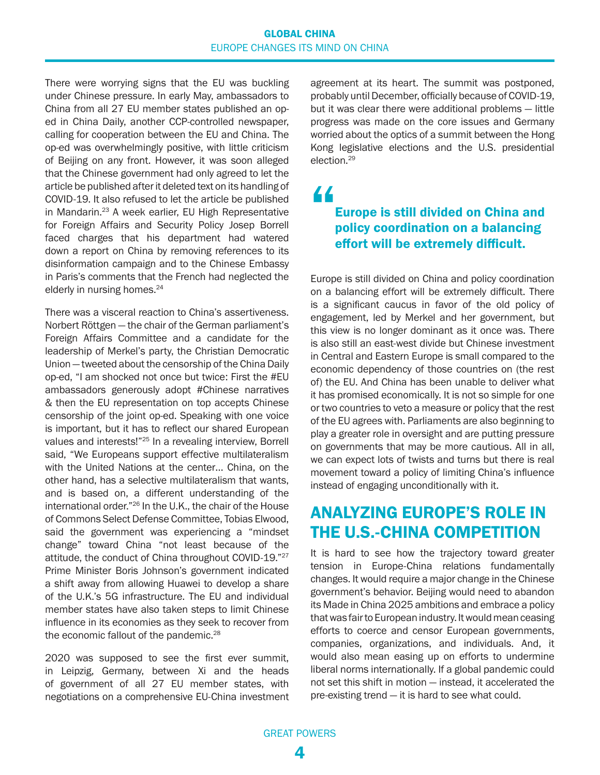#### GLOBAL CHINA EUROPE CHANGES ITS MIND ON CHINA

<span id="page-3-0"></span>There were worrying signs that the EU was buckling under Chinese pressure. In early May, ambassadors to China from all 27 EU member states published an oped in China Daily, another CCP-controlled newspaper, calling for cooperation between the EU and China. The op-ed was overwhelmingly positive, with little criticism of Beijing on any front. However, it was soon alleged that the Chinese government had only agreed to let the article be published after it deleted text on its handling of COVID-19. It also refused to let the article be published in Mandarin[.23](#page-6-0) A week earlier, EU High Representative for Foreign Affairs and Security Policy Josep Borrell faced charges that his department had watered down a report on China by removing references to its disinformation campaign and to the Chinese Embassy in Paris's comments that the French had neglected the elderly in nursing homes.<sup>24</sup>

There was a visceral reaction to China's assertiveness. Norbert Röttgen — the chair of the German parliament's Foreign Affairs Committee and a candidate for the leadership of Merkel's party, the Christian Democratic Union — tweeted about the censorship of the China Daily op-ed, "I am shocked not once but twice: First the #EU ambassadors generously adopt #Chinese narratives & then the EU representation on top accepts Chinese censorship of the joint op-ed. Speaking with one voice is important, but it has to reflect our shared European values and interests!["25](#page-6-0) In a revealing interview, Borrell said, "We Europeans support effective multilateralism with the United Nations at the center… China, on the other hand, has a selective multilateralism that wants, and is based on, a different understanding of the international order.["26](#page-6-0) In the U.K., the chair of the House of Commons Select Defense Committee, Tobias Elwood, said the government was experiencing a "mindset change" toward China "not least because of the attitude, the conduct of China throughout COVID-19."[27](#page-6-0) Prime Minister Boris Johnson's government indicated a shift away from allowing Huawei to develop a share of the U.K.'s 5G infrastructure. The EU and individual member states have also taken steps to limit Chinese influence in its economies as they seek to recover from the economic fallout of the pandemic.<sup>[28](#page-6-0)</sup>

2020 was supposed to see the first ever summit, in Leipzig, Germany, between Xi and the heads of government of all 27 EU member states, with negotiations on a comprehensive EU-China investment agreement at its heart. The summit was postponed, probably until December, officially because of COVID-19, but it was clear there were additional problems — little progress was made on the core issues and Germany worried about the optics of a summit between the Hong Kong legislative elections and the U.S. presidential election[.29](#page-6-0)

"

### Europe is still divided on China and policy coordination on a balancing effort will be extremely difficult.

Europe is still divided on China and policy coordination on a balancing effort will be extremely difficult. There is a significant caucus in favor of the old policy of engagement, led by Merkel and her government, but this view is no longer dominant as it once was. There is also still an east-west divide but Chinese investment in Central and Eastern Europe is small compared to the economic dependency of those countries on (the rest of) the EU. And China has been unable to deliver what it has promised economically. It is not so simple for one or two countries to veto a measure or policy that the rest of the EU agrees with. Parliaments are also beginning to play a greater role in oversight and are putting pressure on governments that may be more cautious. All in all, we can expect lots of twists and turns but there is real movement toward a policy of limiting China's influence instead of engaging unconditionally with it.

### ANALYZING EUROPE'S ROLE IN THE U.S.-CHINA COMPETITION

It is hard to see how the trajectory toward greater tension in Europe-China relations fundamentally changes. It would require a major change in the Chinese government's behavior. Beijing would need to abandon its Made in China 2025 ambitions and embrace a policy that was fair to European industry. It would mean ceasing efforts to coerce and censor European governments, companies, organizations, and individuals. And, it would also mean easing up on efforts to undermine liberal norms internationally. If a global pandemic could not set this shift in motion — instead, it accelerated the pre-existing trend — it is hard to see what could.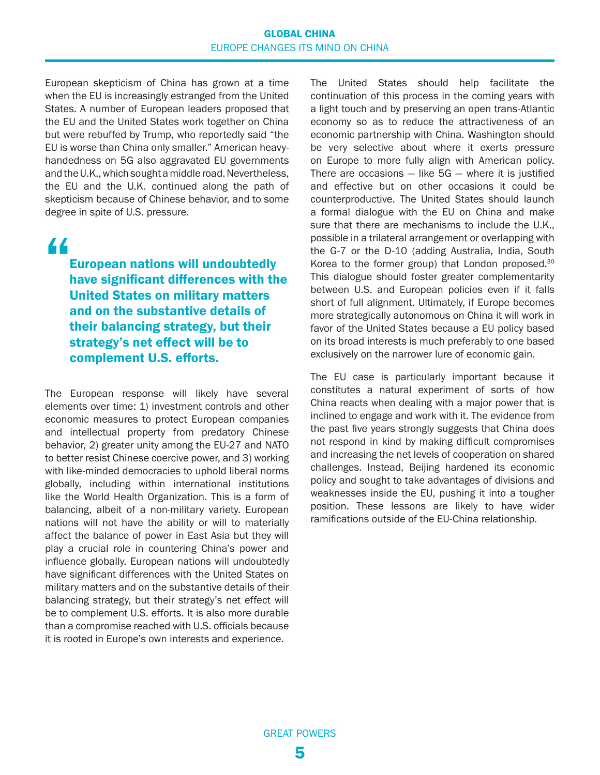#### GLOBAL CHINA EUROPE CHANGES ITS MIND ON CHINA

<span id="page-4-0"></span>European skepticism of China has grown at a time when the EU is increasingly estranged from the United States. A number of European leaders proposed that the EU and the United States work together on China but were rebuffed by Trump, who reportedly said "the EU is worse than China only smaller." American heavyhandedness on 5G also aggravated EU governments and the U.K., which sought a middle road. Nevertheless, the EU and the U.K. continued along the path of skepticism because of Chinese behavior, and to some degree in spite of U.S. pressure.

# "

European nations will undoubtedly have significant differences with the United States on military matters and on the substantive details of their balancing strategy, but their strategy's net effect will be to complement U.S. efforts.

The European response will likely have several elements over time: 1) investment controls and other economic measures to protect European companies and intellectual property from predatory Chinese behavior, 2) greater unity among the EU-27 and NATO to better resist Chinese coercive power, and 3) working with like-minded democracies to uphold liberal norms globally, including within international institutions like the World Health Organization. This is a form of balancing, albeit of a non-military variety. European nations will not have the ability or will to materially affect the balance of power in East Asia but they will play a crucial role in countering China's power and influence globally. European nations will undoubtedly have significant differences with the United States on military matters and on the substantive details of their balancing strategy, but their strategy's net effect will be to complement U.S. efforts. It is also more durable than a compromise reached with U.S. officials because it is rooted in Europe's own interests and experience.

The United States should help facilitate the continuation of this process in the coming years with a light touch and by preserving an open trans-Atlantic economy so as to reduce the attractiveness of an economic partnership with China. Washington should be very selective about where it exerts pressure on Europe to more fully align with American policy. There are occasions  $-$  like 5G  $-$  where it is justified and effective but on other occasions it could be counterproductive. The United States should launch a formal dialogue with the EU on China and make sure that there are mechanisms to include the U.K., possible in a trilateral arrangement or overlapping with the G-7 or the D-10 (adding Australia, India, South Korea to the former group) that London proposed.<sup>30</sup> This dialogue should foster greater complementarity between U.S. and European policies even if it falls short of full alignment. Ultimately, if Europe becomes more strategically autonomous on China it will work in favor of the United States because a EU policy based on its broad interests is much preferably to one based exclusively on the narrower lure of economic gain.

The EU case is particularly important because it constitutes a natural experiment of sorts of how China reacts when dealing with a major power that is inclined to engage and work with it. The evidence from the past five years strongly suggests that China does not respond in kind by making difficult compromises and increasing the net levels of cooperation on shared challenges. Instead, Beijing hardened its economic policy and sought to take advantages of divisions and weaknesses inside the EU, pushing it into a tougher position. These lessons are likely to have wider ramifications outside of the EU-China relationship.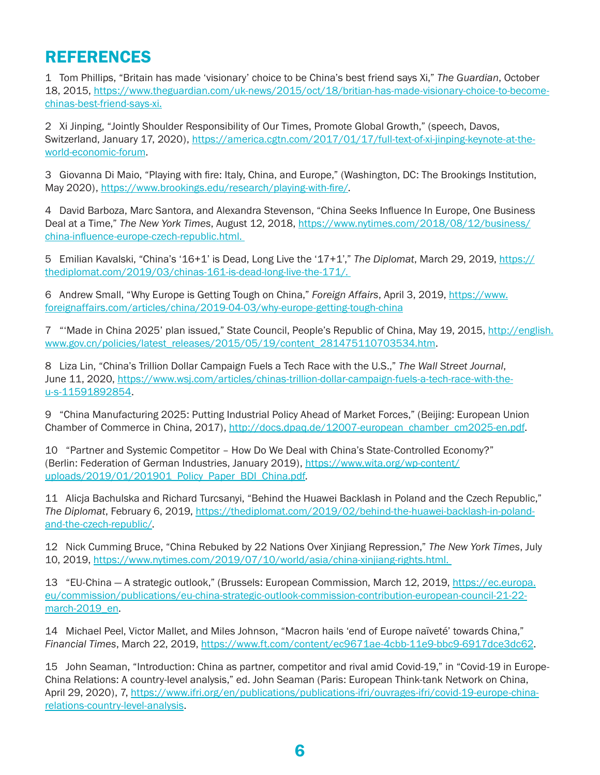## <span id="page-5-0"></span>REFERENCES

[1](#page-0-0) Tom Phillips, "Britain has made 'visionary' choice to be China's best friend says Xi," *The Guardian*, October 18, 2015, [https://www.theguardian.com/uk-news/2015/oct/18/britian-has-made-visionary-choice-to-become](https://www.theguardian.com/uk-news/2015/oct/18/britian-has-made-visionary-choice-to-become-chinas-best-friend-says-xi)[chinas-best-friend-says-xi.](https://www.theguardian.com/uk-news/2015/oct/18/britian-has-made-visionary-choice-to-become-chinas-best-friend-says-xi)

[2](#page-0-0) Xi Jinping, "Jointly Shoulder Responsibility of Our Times, Promote Global Growth," (speech, Davos, Switzerland, January 17, 2020), [https://america.cgtn.com/2017/01/17/full-text-of-xi-jinping-keynote-at-the](https://america.cgtn.com/2017/01/17/full-text-of-xi-jinping-keynote-at-the-world-economic-forum)[world-economic-forum.](https://america.cgtn.com/2017/01/17/full-text-of-xi-jinping-keynote-at-the-world-economic-forum)

[3](#page-1-0) Giovanna Di Maio, "Playing with fire: Italy, China, and Europe," (Washington, DC: The Brookings Institution, May 2020),<https://www.brookings.edu/research/playing-with-fire/>.

[4](#page-1-0) David Barboza, Marc Santora, and Alexandra Stevenson, "China Seeks Influence In Europe, One Business Deal at a Time," *The New York Times*, August 12, 2018, [https://www.nytimes.com/2018/08/12/business/](https://www.nytimes.com/2018/08/12/business/china-influence-europe-czech-republic.html) [china-influence-europe-czech-republic.html](https://www.nytimes.com/2018/08/12/business/china-influence-europe-czech-republic.html).

[5](#page-1-0) Emilian Kavalski, "China's '16+1' is Dead, Long Live the '17+1'," *The Diplomat*, March 29, 2019, [https://](https://thediplomat.com/2019/03/chinas-161-is-dead-long-live-the-171/) [thediplomat.com/2019/03/chinas-161-is-dead-long-live-the-171/.](https://thediplomat.com/2019/03/chinas-161-is-dead-long-live-the-171/)

[6](#page-1-0) Andrew Small, "Why Europe is Getting Tough on China," *Foreign Affairs*, April 3, 2019, [https://www.](https://www.foreignaffairs.com/articles/china/2019-04-03/why-europe-getting-tough-china) [foreignaffairs.com/articles/china/2019-04-03/why-europe-getting-tough-china](https://www.foreignaffairs.com/articles/china/2019-04-03/why-europe-getting-tough-china)

[7](#page-1-0) "'Made in China 2025' plan issued," State Council, People's Republic of China, May 19, 2015, [http://english.](http://english.www.gov.cn/policies/latest_releases/2015/05/19/content_281475110703534.htm) [www.gov.cn/policies/latest\\_releases/2015/05/19/content\\_281475110703534.htm](http://english.www.gov.cn/policies/latest_releases/2015/05/19/content_281475110703534.htm).

[8](#page-1-0) Liza Lin, "China's Trillion Dollar Campaign Fuels a Tech Race with the U.S.," *The Wall Street Journal*, June 11, 2020, [https://www.wsj.com/articles/chinas-trillion-dollar-campaign-fuels-a-tech-race-with-the](https://www.wsj.com/articles/chinas-trillion-dollar-campaign-fuels-a-tech-race-with-the-u-s-11591892854)[u-s-11591892854](https://www.wsj.com/articles/chinas-trillion-dollar-campaign-fuels-a-tech-race-with-the-u-s-11591892854).

[9](#page-1-0) "China Manufacturing 2025: Putting Industrial Policy Ahead of Market Forces," (Beijing: European Union Chamber of Commerce in China, 2017), [http://docs.dpaq.de/12007-european\\_chamber\\_cm2025-en.pdf](http://docs.dpaq.de/12007-european_chamber_cm2025-en.pdf).

[10](#page-1-0)  "Partner and Systemic Competitor – How Do We Deal with China's State-Controlled Economy?" (Berlin: Federation of German Industries, January 2019), [https://www.wita.org/wp-content/](https://www.wita.org/wp-content/uploads/2019/01/201901_Policy_Paper_BDI_China.pdf) [uploads/2019/01/201901\\_Policy\\_Paper\\_BDI\\_China.pdf](https://www.wita.org/wp-content/uploads/2019/01/201901_Policy_Paper_BDI_China.pdf).

[11](#page-1-0)  Alicja Bachulska and Richard Turcsanyi, "Behind the Huawei Backlash in Poland and the Czech Republic," *The Diplomat*, February 6, 2019, [https://thediplomat.com/2019/02/behind-the-huawei-backlash-in-poland](https://thediplomat.com/2019/02/behind-the-huawei-backlash-in-poland-and-the-czech-republic/)[and-the-czech-republic/](https://thediplomat.com/2019/02/behind-the-huawei-backlash-in-poland-and-the-czech-republic/).

[12](#page-1-0)  Nick Cumming Bruce, "China Rebuked by 22 Nations Over Xinjiang Repression," *The New York Times*, July 10, 2019,<https://www.nytimes.com/2019/07/10/world/asia/china-xinjiang-rights.html>.

[13](#page-1-0)  "EU-China — A strategic outlook," (Brussels: European Commission, March 12, 2019, [https://ec.europa.](https://ec.europa.eu/commission/publications/eu-china-strategic-outlook-commission-contribution-european-council-21-22-march-2019_en) [eu/commission/publications/eu-china-strategic-outlook-commission-contribution-european-council-21-22](https://ec.europa.eu/commission/publications/eu-china-strategic-outlook-commission-contribution-european-council-21-22-march-2019_en) [march-2019\\_en.](https://ec.europa.eu/commission/publications/eu-china-strategic-outlook-commission-contribution-european-council-21-22-march-2019_en)

[14](#page-2-0)  Michael Peel, Victor Mallet, and Miles Johnson, "Macron hails 'end of Europe naïveté' towards China," *Financial Times*, March 22, 2019, [https://www.ft.com/content/ec9671ae-4cbb-11e9-bbc9-6917dce3dc62.](https://www.ft.com/content/ec9671ae-4cbb-11e9-bbc9-6917dce3dc62)

[15](#page-2-0)  John Seaman, "Introduction: China as partner, competitor and rival amid Covid-19," in "Covid-19 in Europe-China Relations: A country-level analysis," ed. John Seaman (Paris: European Think-tank Network on China, April 29, 2020), 7, [https://www.ifri.org/en/publications/publications-ifri/ouvrages-ifri/covid-19-europe-china](https://www.ifri.org/en/publications/publications-ifri/ouvrages-ifri/covid-19-europe-china-relations-country-level-analysis)[relations-country-level-analysis.](https://www.ifri.org/en/publications/publications-ifri/ouvrages-ifri/covid-19-europe-china-relations-country-level-analysis)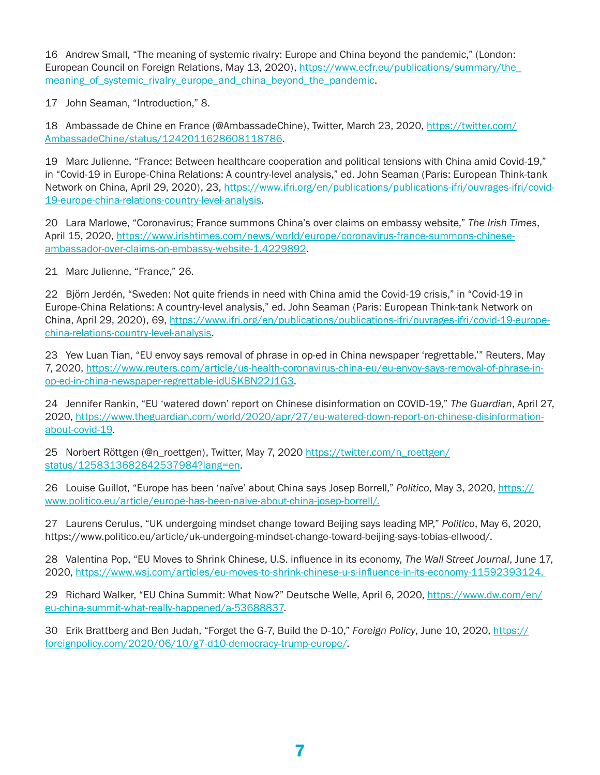<span id="page-6-0"></span>[16](#page-2-0)  Andrew Small, "The meaning of systemic rivalry: Europe and China beyond the pandemic," (London: European Council on Foreign Relations, May 13, 2020), [https://www.ecfr.eu/publications/summary/the\\_](https://www.ecfr.eu/publications/summary/the_meaning_of_systemic_rivalry_europe_and_china_beyond_the_pandemic) meaning of systemic rivalry europe and china beyond the pandemic.

[17](#page-2-0)  John Seaman, "Introduction," 8.

[18](#page-2-0)  Ambassade de Chine en France (@AmbassadeChine), Twitter, March 23, 2020, [https://twitter.com/](https://twitter.com/AmbassadeChine/status/1242011628608118786) [AmbassadeChine/status/1242011628608118786](https://twitter.com/AmbassadeChine/status/1242011628608118786).

[19](#page-2-0)  Marc Julienne, "France: Between healthcare cooperation and political tensions with China amid Covid-19," in "Covid-19 in Europe-China Relations: A country-level analysis," ed. John Seaman (Paris: European Think-tank Network on China, April 29, 2020), 23, [https://www.ifri.org/en/publications/publications-ifri/ouvrages-ifri/covid-](https://www.ifri.org/en/publications/publications-ifri/ouvrages-ifri/covid-19-europe-china-relations-country-level-analysis)[19-europe-china-relations-country-level-analysis.](https://www.ifri.org/en/publications/publications-ifri/ouvrages-ifri/covid-19-europe-china-relations-country-level-analysis)

[20](#page-2-0)  Lara Marlowe, "Coronavirus; France summons China's over claims on embassy website," *The Irish Times*, April 15, 2020, [https://www.irishtimes.com/news/world/europe/coronavirus-france-summons-chinese](https://www.irishtimes.com/news/world/europe/coronavirus-france-summons-chinese-ambassador-over-claims-on-embassy-website-1.4229892)[ambassador-over-claims-on-embassy-website-1.4229892](https://www.irishtimes.com/news/world/europe/coronavirus-france-summons-chinese-ambassador-over-claims-on-embassy-website-1.4229892).

[21](#page-2-0)  Marc Julienne, "France," 26.

[22](#page-2-0)  Björn Jerdén, "Sweden: Not quite friends in need with China amid the Covid-19 crisis," in "Covid-19 in Europe-China Relations: A country-level analysis," ed. John Seaman (Paris: European Think-tank Network on China, April 29, 2020), 69, [https://www.ifri.org/en/publications/publications-ifri/ouvrages-ifri/covid-19-europe](https://www.ifri.org/en/publications/publications-ifri/ouvrages-ifri/covid-19-europe-china-relations-country-level-analysis)[china-relations-country-level-analysis.](https://www.ifri.org/en/publications/publications-ifri/ouvrages-ifri/covid-19-europe-china-relations-country-level-analysis)

[23](#page-3-0)  Yew Luan Tian, "EU envoy says removal of phrase in op-ed in China newspaper 'regrettable,'" Reuters, May 7, 2020, [https://www.reuters.com/article/us-health-coronavirus-china-eu/eu-envoy-says-removal-of-phrase-in](https://www.reuters.com/article/us-health-coronavirus-china-eu/eu-envoy-says-removal-of-phrase-in-op-ed-in-china-newspaper-regrettable-idUSKBN22J1G3)[op-ed-in-china-newspaper-regrettable-idUSKBN22J1G3.](https://www.reuters.com/article/us-health-coronavirus-china-eu/eu-envoy-says-removal-of-phrase-in-op-ed-in-china-newspaper-regrettable-idUSKBN22J1G3)

[24](#page-3-0)  Jennifer Rankin, "EU 'watered down' report on Chinese disinformation on COVID-19," *The Guardian*, April 27, 2020, [https://www.theguardian.com/world/2020/apr/27/eu-watered-down-report-on-chinese-disinformation](https://www.theguardian.com/world/2020/apr/27/eu-watered-down-report-on-chinese-disinformation-about-covid-19)[about-covid-19.](https://www.theguardian.com/world/2020/apr/27/eu-watered-down-report-on-chinese-disinformation-about-covid-19)

[25](#page-3-0)  Norbert Röttgen (@n\_roettgen), Twitter, May 7, 2020 [https://twitter.com/n\\_roettgen/](https://twitter.com/n_roettgen/status/1258313682842537984?lang=en) [status/1258313682842537984?lang=en.](https://twitter.com/n_roettgen/status/1258313682842537984?lang=en)

[26](#page-3-0)  Louise Guillot, "Europe has been 'naïve' about China says Josep Borrell," *Politico*, May 3, 2020, [https://](https://www.politico.eu/article/europe-has-been-naive-about-china-josep-borrell/) [www.politico.eu/article/europe-has-been-naive-about-china-josep-borrell/.](https://www.politico.eu/article/europe-has-been-naive-about-china-josep-borrell/)

[27](#page-3-0)  Laurens Cerulus, "UK undergoing mindset change toward Beijing says leading MP," *Politico*, May 6, 2020, [https://www.politico.eu/article/uk-undergoing-mindset-change-toward-beijing-says-tobias-ellwood/.](https://www.politico.eu/article/uk-undergoing-mindset-change-toward-beijing-says-tobias-ellwood/)

[28](#page-3-0)  Valentina Pop, "EU Moves to Shrink Chinese, U.S. influence in its economy, *The Wall Street Journal*, June 17, 2020,<https://www.wsj.com/articles/eu-moves-to-shrink-chinese-u-s-influence-in-its-economy-11592393124>.

[29](#page-3-0)  Richard Walker, "EU China Summit: What Now?" Deutsche Welle, April 6, 2020, [https://www.dw.com/en/](https://www.dw.com/en/eu-china-summit-what-really-happened/a-53688837) [eu-china-summit-what-really-happened/a-53688837.](https://www.dw.com/en/eu-china-summit-what-really-happened/a-53688837)

[30](#page-4-0)  Erik Brattberg and Ben Judah, "Forget the G-7, Build the D-10," *Foreign Policy*, June 10, 2020, [https://](https://foreignpolicy.com/2020/06/10/g7-d10-democracy-trump-europe/) [foreignpolicy.com/2020/06/10/g7-d10-democracy-trump-europe/](https://foreignpolicy.com/2020/06/10/g7-d10-democracy-trump-europe/).